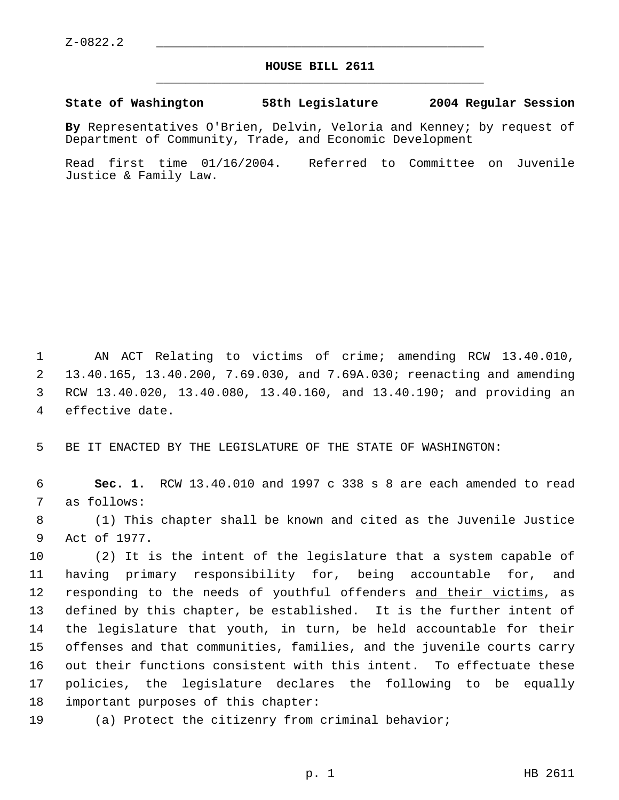## **HOUSE BILL 2611** \_\_\_\_\_\_\_\_\_\_\_\_\_\_\_\_\_\_\_\_\_\_\_\_\_\_\_\_\_\_\_\_\_\_\_\_\_\_\_\_\_\_\_\_\_

## **State of Washington 58th Legislature 2004 Regular Session**

**By** Representatives O'Brien, Delvin, Veloria and Kenney; by request of Department of Community, Trade, and Economic Development

Read first time 01/16/2004. Referred to Committee on Juvenile Justice & Family Law.

 AN ACT Relating to victims of crime; amending RCW 13.40.010, 13.40.165, 13.40.200, 7.69.030, and 7.69A.030; reenacting and amending RCW 13.40.020, 13.40.080, 13.40.160, and 13.40.190; and providing an effective date.

BE IT ENACTED BY THE LEGISLATURE OF THE STATE OF WASHINGTON:

 **Sec. 1.** RCW 13.40.010 and 1997 c 338 s 8 are each amended to read as follows:

 (1) This chapter shall be known and cited as the Juvenile Justice Act of 1977.

 (2) It is the intent of the legislature that a system capable of having primary responsibility for, being accountable for, and 12 responding to the needs of youthful offenders and their victims, as defined by this chapter, be established. It is the further intent of the legislature that youth, in turn, be held accountable for their offenses and that communities, families, and the juvenile courts carry out their functions consistent with this intent. To effectuate these policies, the legislature declares the following to be equally important purposes of this chapter:

(a) Protect the citizenry from criminal behavior;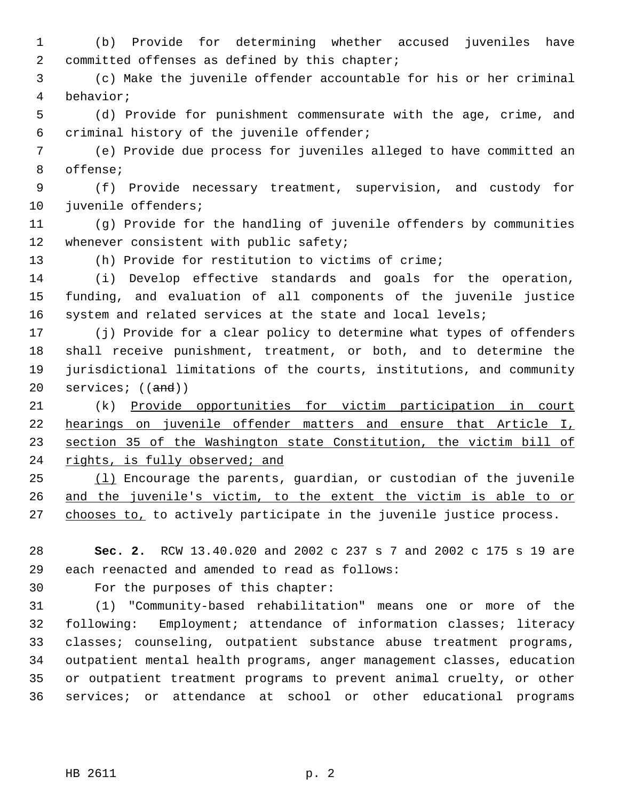(b) Provide for determining whether accused juveniles have 2 committed offenses as defined by this chapter;

 (c) Make the juvenile offender accountable for his or her criminal behavior;

 (d) Provide for punishment commensurate with the age, crime, and criminal history of the juvenile offender;

 (e) Provide due process for juveniles alleged to have committed an offense;

 (f) Provide necessary treatment, supervision, and custody for 10 juvenile offenders;

 (g) Provide for the handling of juvenile offenders by communities 12 whenever consistent with public safety;

(h) Provide for restitution to victims of crime;

 (i) Develop effective standards and goals for the operation, funding, and evaluation of all components of the juvenile justice 16 system and related services at the state and local levels;

 (j) Provide for a clear policy to determine what types of offenders shall receive punishment, treatment, or both, and to determine the jurisdictional limitations of the courts, institutions, and community 20 services; ((and))

 (k) Provide opportunities for victim participation in court hearings on juvenile offender matters and ensure that Article I, section 35 of the Washington state Constitution, the victim bill of 24 rights, is fully observed; and

 (l) Encourage the parents, guardian, or custodian of the juvenile and the juvenile's victim, to the extent the victim is able to or 27 chooses to, to actively participate in the juvenile justice process.

 **Sec. 2.** RCW 13.40.020 and 2002 c 237 s 7 and 2002 c 175 s 19 are each reenacted and amended to read as follows:

For the purposes of this chapter:

 (1) "Community-based rehabilitation" means one or more of the following: Employment; attendance of information classes; literacy classes; counseling, outpatient substance abuse treatment programs, outpatient mental health programs, anger management classes, education or outpatient treatment programs to prevent animal cruelty, or other services; or attendance at school or other educational programs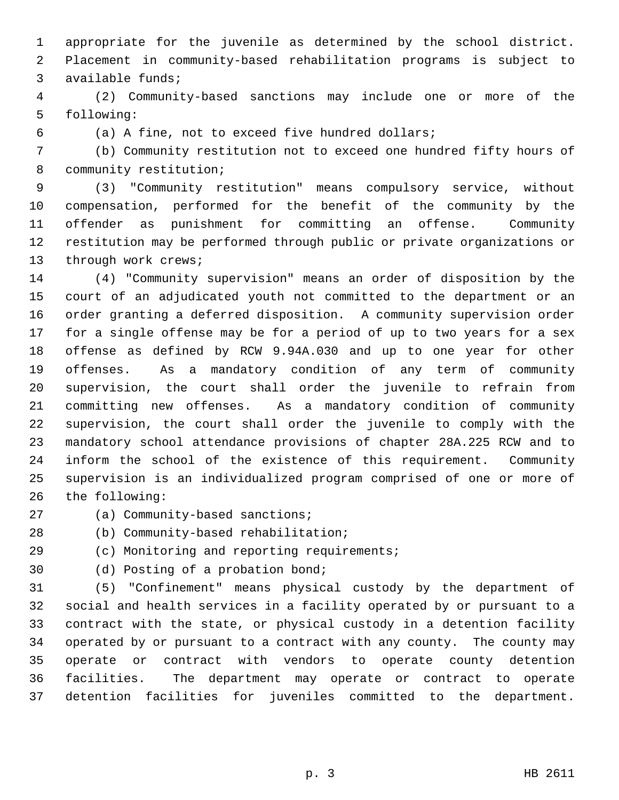appropriate for the juvenile as determined by the school district. Placement in community-based rehabilitation programs is subject to available funds;

 (2) Community-based sanctions may include one or more of the following:

(a) A fine, not to exceed five hundred dollars;

 (b) Community restitution not to exceed one hundred fifty hours of community restitution;

 (3) "Community restitution" means compulsory service, without compensation, performed for the benefit of the community by the offender as punishment for committing an offense. Community restitution may be performed through public or private organizations or 13 through work crews;

 (4) "Community supervision" means an order of disposition by the court of an adjudicated youth not committed to the department or an order granting a deferred disposition. A community supervision order for a single offense may be for a period of up to two years for a sex offense as defined by RCW 9.94A.030 and up to one year for other offenses. As a mandatory condition of any term of community supervision, the court shall order the juvenile to refrain from committing new offenses. As a mandatory condition of community supervision, the court shall order the juvenile to comply with the mandatory school attendance provisions of chapter 28A.225 RCW and to inform the school of the existence of this requirement. Community supervision is an individualized program comprised of one or more of the following:

- (a) Community-based sanctions;
- (b) Community-based rehabilitation;
- (c) Monitoring and reporting requirements;
- (d) Posting of a probation bond;

 (5) "Confinement" means physical custody by the department of social and health services in a facility operated by or pursuant to a contract with the state, or physical custody in a detention facility operated by or pursuant to a contract with any county. The county may operate or contract with vendors to operate county detention facilities. The department may operate or contract to operate detention facilities for juveniles committed to the department.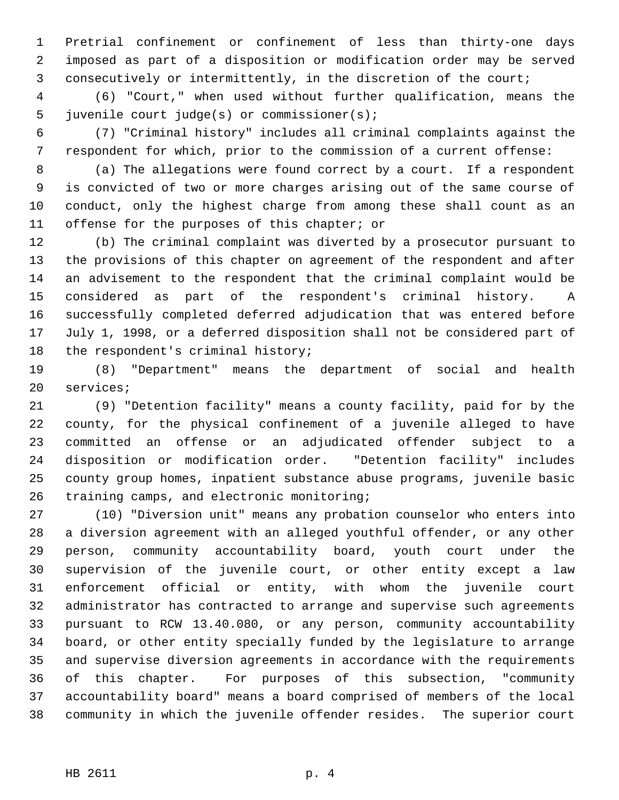Pretrial confinement or confinement of less than thirty-one days imposed as part of a disposition or modification order may be served consecutively or intermittently, in the discretion of the court;

 (6) "Court," when used without further qualification, means the juvenile court judge(s) or commissioner(s);

 (7) "Criminal history" includes all criminal complaints against the respondent for which, prior to the commission of a current offense:

 (a) The allegations were found correct by a court. If a respondent is convicted of two or more charges arising out of the same course of conduct, only the highest charge from among these shall count as an offense for the purposes of this chapter; or

 (b) The criminal complaint was diverted by a prosecutor pursuant to the provisions of this chapter on agreement of the respondent and after an advisement to the respondent that the criminal complaint would be considered as part of the respondent's criminal history. A successfully completed deferred adjudication that was entered before July 1, 1998, or a deferred disposition shall not be considered part of the respondent's criminal history;

 (8) "Department" means the department of social and health services;

 (9) "Detention facility" means a county facility, paid for by the county, for the physical confinement of a juvenile alleged to have committed an offense or an adjudicated offender subject to a disposition or modification order. "Detention facility" includes county group homes, inpatient substance abuse programs, juvenile basic training camps, and electronic monitoring;

 (10) "Diversion unit" means any probation counselor who enters into a diversion agreement with an alleged youthful offender, or any other person, community accountability board, youth court under the supervision of the juvenile court, or other entity except a law enforcement official or entity, with whom the juvenile court administrator has contracted to arrange and supervise such agreements pursuant to RCW 13.40.080, or any person, community accountability board, or other entity specially funded by the legislature to arrange and supervise diversion agreements in accordance with the requirements of this chapter. For purposes of this subsection, "community accountability board" means a board comprised of members of the local community in which the juvenile offender resides. The superior court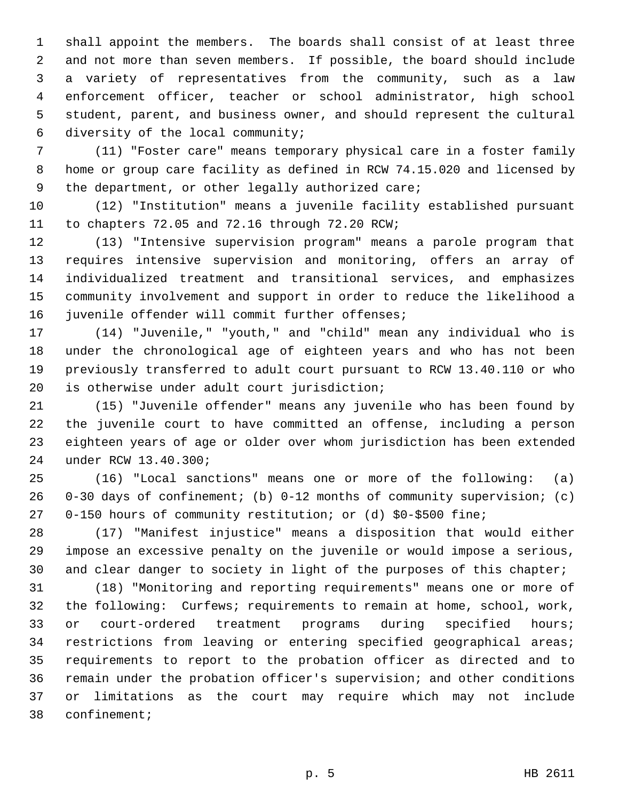shall appoint the members. The boards shall consist of at least three and not more than seven members. If possible, the board should include a variety of representatives from the community, such as a law enforcement officer, teacher or school administrator, high school student, parent, and business owner, and should represent the cultural diversity of the local community;

 (11) "Foster care" means temporary physical care in a foster family home or group care facility as defined in RCW 74.15.020 and licensed by the department, or other legally authorized care;

 (12) "Institution" means a juvenile facility established pursuant to chapters 72.05 and 72.16 through 72.20 RCW;

 (13) "Intensive supervision program" means a parole program that requires intensive supervision and monitoring, offers an array of individualized treatment and transitional services, and emphasizes community involvement and support in order to reduce the likelihood a 16 juvenile offender will commit further offenses;

 (14) "Juvenile," "youth," and "child" mean any individual who is under the chronological age of eighteen years and who has not been previously transferred to adult court pursuant to RCW 13.40.110 or who is otherwise under adult court jurisdiction;

 (15) "Juvenile offender" means any juvenile who has been found by the juvenile court to have committed an offense, including a person eighteen years of age or older over whom jurisdiction has been extended under RCW 13.40.300;

 (16) "Local sanctions" means one or more of the following: (a) 0-30 days of confinement; (b) 0-12 months of community supervision; (c) 0-150 hours of community restitution; or (d) \$0-\$500 fine;

 (17) "Manifest injustice" means a disposition that would either impose an excessive penalty on the juvenile or would impose a serious, 30 and clear danger to society in light of the purposes of this chapter;

 (18) "Monitoring and reporting requirements" means one or more of the following: Curfews; requirements to remain at home, school, work, or court-ordered treatment programs during specified hours; restrictions from leaving or entering specified geographical areas; requirements to report to the probation officer as directed and to remain under the probation officer's supervision; and other conditions or limitations as the court may require which may not include confinement;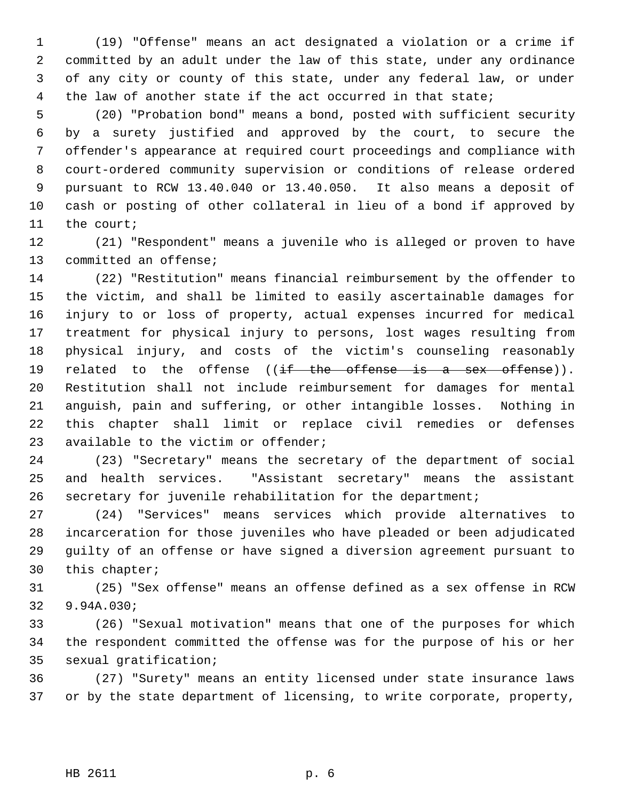(19) "Offense" means an act designated a violation or a crime if committed by an adult under the law of this state, under any ordinance of any city or county of this state, under any federal law, or under 4 the law of another state if the act occurred in that state;

 (20) "Probation bond" means a bond, posted with sufficient security by a surety justified and approved by the court, to secure the offender's appearance at required court proceedings and compliance with court-ordered community supervision or conditions of release ordered pursuant to RCW 13.40.040 or 13.40.050. It also means a deposit of cash or posting of other collateral in lieu of a bond if approved by the court;

 (21) "Respondent" means a juvenile who is alleged or proven to have committed an offense;

 (22) "Restitution" means financial reimbursement by the offender to the victim, and shall be limited to easily ascertainable damages for injury to or loss of property, actual expenses incurred for medical treatment for physical injury to persons, lost wages resulting from physical injury, and costs of the victim's counseling reasonably 19 related to the offense ((if the offense is a sex offense)). Restitution shall not include reimbursement for damages for mental anguish, pain and suffering, or other intangible losses. Nothing in this chapter shall limit or replace civil remedies or defenses available to the victim or offender;

 (23) "Secretary" means the secretary of the department of social and health services. "Assistant secretary" means the assistant secretary for juvenile rehabilitation for the department;

 (24) "Services" means services which provide alternatives to incarceration for those juveniles who have pleaded or been adjudicated guilty of an offense or have signed a diversion agreement pursuant to this chapter;

 (25) "Sex offense" means an offense defined as a sex offense in RCW 9.94A.030;

 (26) "Sexual motivation" means that one of the purposes for which the respondent committed the offense was for the purpose of his or her sexual gratification;

 (27) "Surety" means an entity licensed under state insurance laws or by the state department of licensing, to write corporate, property,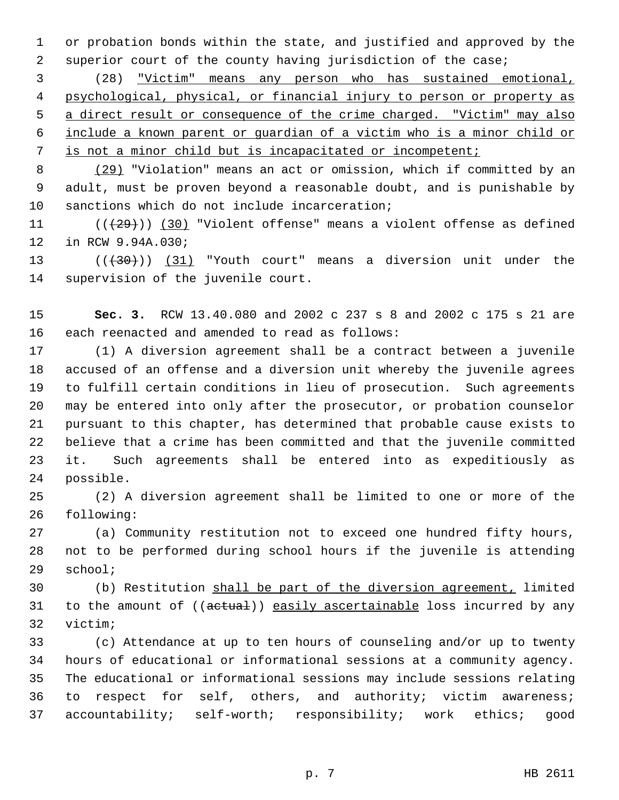or probation bonds within the state, and justified and approved by the superior court of the county having jurisdiction of the case;

 (28) "Victim" means any person who has sustained emotional, psychological, physical, or financial injury to person or property as a direct result or consequence of the crime charged. "Victim" may also include a known parent or guardian of a victim who is a minor child or is not a minor child but is incapacitated or incompetent;

 (29) "Violation" means an act or omission, which if committed by an adult, must be proven beyond a reasonable doubt, and is punishable by sanctions which do not include incarceration;

 $((+29))$  (30) "Violent offense" means a violent offense as defined in RCW 9.94A.030;

13 (( $(30)$ )) (31) "Youth court" means a diversion unit under the supervision of the juvenile court.

 **Sec. 3.** RCW 13.40.080 and 2002 c 237 s 8 and 2002 c 175 s 21 are each reenacted and amended to read as follows:

 (1) A diversion agreement shall be a contract between a juvenile accused of an offense and a diversion unit whereby the juvenile agrees to fulfill certain conditions in lieu of prosecution. Such agreements may be entered into only after the prosecutor, or probation counselor pursuant to this chapter, has determined that probable cause exists to believe that a crime has been committed and that the juvenile committed it. Such agreements shall be entered into as expeditiously as possible.

 (2) A diversion agreement shall be limited to one or more of the following:

 (a) Community restitution not to exceed one hundred fifty hours, not to be performed during school hours if the juvenile is attending school;

 (b) Restitution shall be part of the diversion agreement, limited 31 to the amount of ((actual)) easily ascertainable loss incurred by any victim;

 (c) Attendance at up to ten hours of counseling and/or up to twenty hours of educational or informational sessions at a community agency. The educational or informational sessions may include sessions relating to respect for self, others, and authority; victim awareness; accountability; self-worth; responsibility; work ethics; good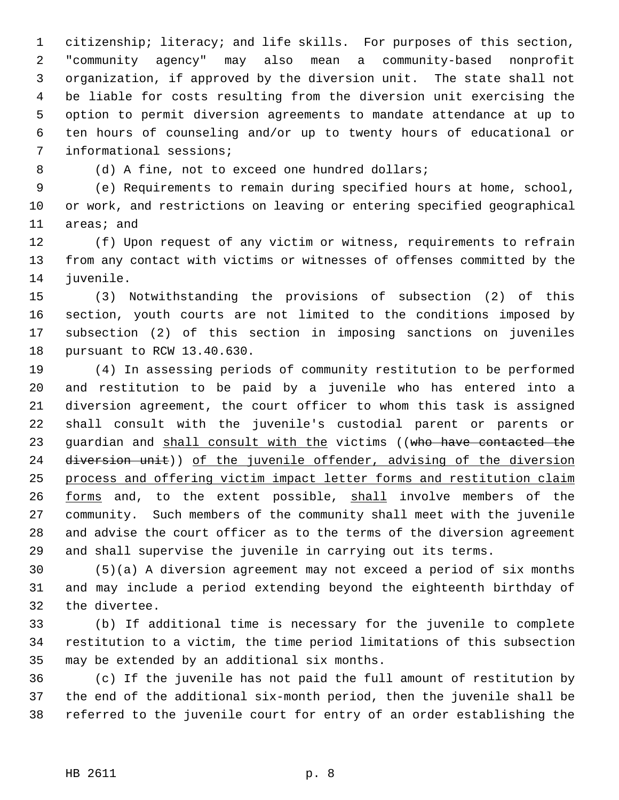citizenship; literacy; and life skills. For purposes of this section, "community agency" may also mean a community-based nonprofit organization, if approved by the diversion unit. The state shall not be liable for costs resulting from the diversion unit exercising the option to permit diversion agreements to mandate attendance at up to ten hours of counseling and/or up to twenty hours of educational or informational sessions;

(d) A fine, not to exceed one hundred dollars;

 (e) Requirements to remain during specified hours at home, school, or work, and restrictions on leaving or entering specified geographical areas; and

 (f) Upon request of any victim or witness, requirements to refrain from any contact with victims or witnesses of offenses committed by the juvenile.

 (3) Notwithstanding the provisions of subsection (2) of this section, youth courts are not limited to the conditions imposed by subsection (2) of this section in imposing sanctions on juveniles pursuant to RCW 13.40.630.

 (4) In assessing periods of community restitution to be performed and restitution to be paid by a juvenile who has entered into a diversion agreement, the court officer to whom this task is assigned shall consult with the juvenile's custodial parent or parents or 23 guardian and shall consult with the victims ((who have contacted the 24 diversion unit)) of the juvenile offender, advising of the diversion process and offering victim impact letter forms and restitution claim 26 forms and, to the extent possible, shall involve members of the community. Such members of the community shall meet with the juvenile and advise the court officer as to the terms of the diversion agreement and shall supervise the juvenile in carrying out its terms.

 (5)(a) A diversion agreement may not exceed a period of six months and may include a period extending beyond the eighteenth birthday of the divertee.

 (b) If additional time is necessary for the juvenile to complete restitution to a victim, the time period limitations of this subsection may be extended by an additional six months.

 (c) If the juvenile has not paid the full amount of restitution by the end of the additional six-month period, then the juvenile shall be referred to the juvenile court for entry of an order establishing the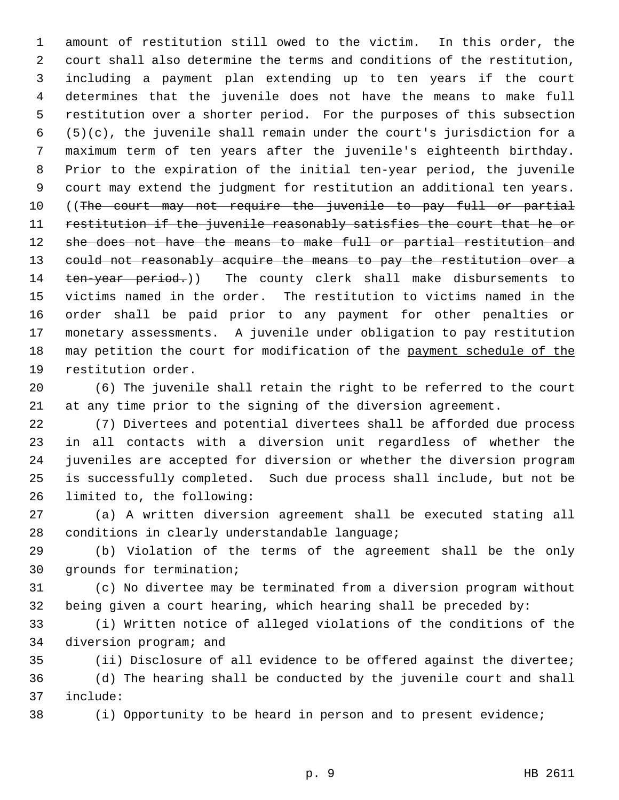amount of restitution still owed to the victim. In this order, the court shall also determine the terms and conditions of the restitution, including a payment plan extending up to ten years if the court determines that the juvenile does not have the means to make full restitution over a shorter period. For the purposes of this subsection (5)(c), the juvenile shall remain under the court's jurisdiction for a maximum term of ten years after the juvenile's eighteenth birthday. Prior to the expiration of the initial ten-year period, the juvenile court may extend the judgment for restitution an additional ten years. ((The court may not require the juvenile to pay full or partial 11 restitution if the juvenile reasonably satisfies the court that he or 12 she does not have the means to make full or partial restitution and 13 could not reasonably acquire the means to pay the restitution over a 14 ten-year period.)) The county clerk shall make disbursements to victims named in the order. The restitution to victims named in the order shall be paid prior to any payment for other penalties or monetary assessments. A juvenile under obligation to pay restitution 18 may petition the court for modification of the payment schedule of the restitution order.

 (6) The juvenile shall retain the right to be referred to the court at any time prior to the signing of the diversion agreement.

 (7) Divertees and potential divertees shall be afforded due process in all contacts with a diversion unit regardless of whether the juveniles are accepted for diversion or whether the diversion program is successfully completed. Such due process shall include, but not be limited to, the following:

 (a) A written diversion agreement shall be executed stating all conditions in clearly understandable language;

 (b) Violation of the terms of the agreement shall be the only grounds for termination;

 (c) No divertee may be terminated from a diversion program without being given a court hearing, which hearing shall be preceded by:

 (i) Written notice of alleged violations of the conditions of the diversion program; and

 (ii) Disclosure of all evidence to be offered against the divertee; (d) The hearing shall be conducted by the juvenile court and shall include:

(i) Opportunity to be heard in person and to present evidence;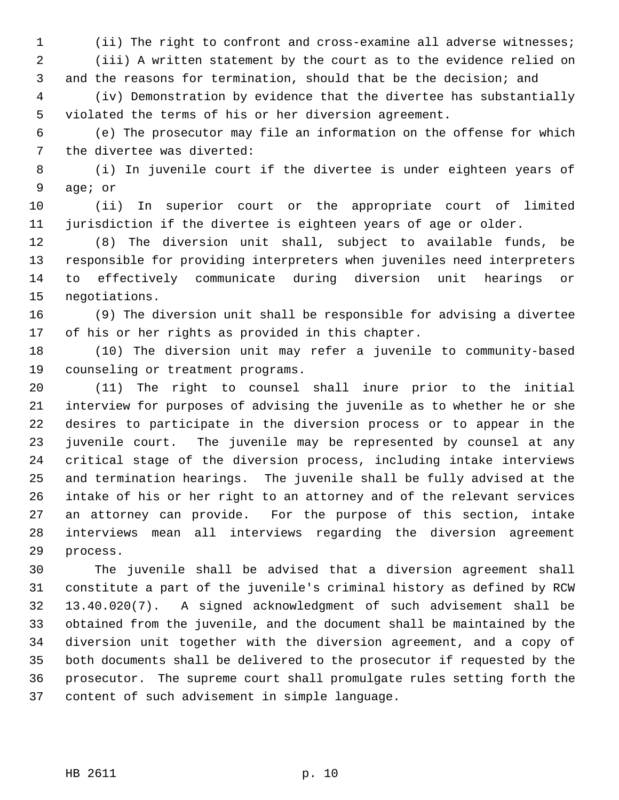(ii) The right to confront and cross-examine all adverse witnesses; (iii) A written statement by the court as to the evidence relied on and the reasons for termination, should that be the decision; and

 (iv) Demonstration by evidence that the divertee has substantially violated the terms of his or her diversion agreement.

 (e) The prosecutor may file an information on the offense for which the divertee was diverted:

 (i) In juvenile court if the divertee is under eighteen years of age; or

 (ii) In superior court or the appropriate court of limited jurisdiction if the divertee is eighteen years of age or older.

 (8) The diversion unit shall, subject to available funds, be responsible for providing interpreters when juveniles need interpreters to effectively communicate during diversion unit hearings or negotiations.

 (9) The diversion unit shall be responsible for advising a divertee of his or her rights as provided in this chapter.

 (10) The diversion unit may refer a juvenile to community-based counseling or treatment programs.

 (11) The right to counsel shall inure prior to the initial interview for purposes of advising the juvenile as to whether he or she desires to participate in the diversion process or to appear in the juvenile court. The juvenile may be represented by counsel at any critical stage of the diversion process, including intake interviews and termination hearings. The juvenile shall be fully advised at the intake of his or her right to an attorney and of the relevant services an attorney can provide. For the purpose of this section, intake interviews mean all interviews regarding the diversion agreement process.

 The juvenile shall be advised that a diversion agreement shall constitute a part of the juvenile's criminal history as defined by RCW 13.40.020(7). A signed acknowledgment of such advisement shall be obtained from the juvenile, and the document shall be maintained by the diversion unit together with the diversion agreement, and a copy of both documents shall be delivered to the prosecutor if requested by the prosecutor. The supreme court shall promulgate rules setting forth the content of such advisement in simple language.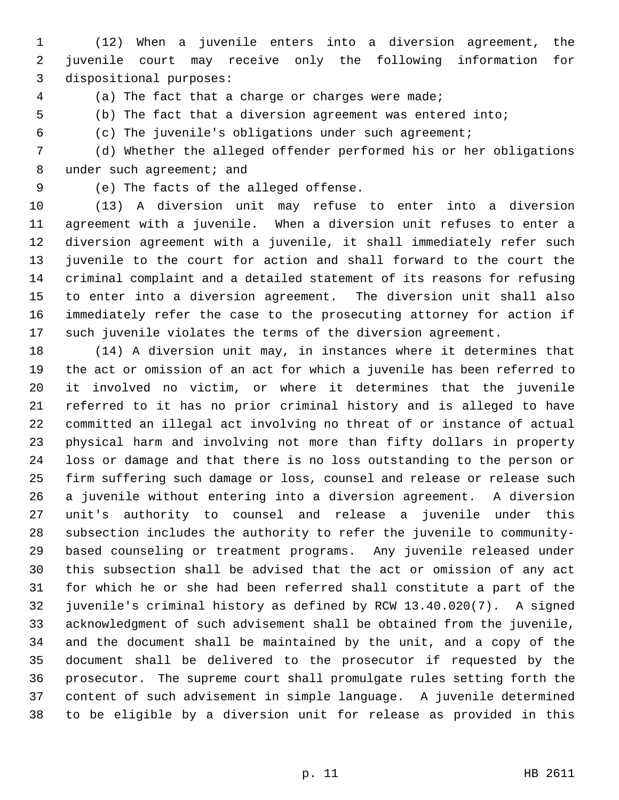(12) When a juvenile enters into a diversion agreement, the juvenile court may receive only the following information for dispositional purposes:

(a) The fact that a charge or charges were made;

(b) The fact that a diversion agreement was entered into;

(c) The juvenile's obligations under such agreement;

 (d) Whether the alleged offender performed his or her obligations 8 under such agreement; and

(e) The facts of the alleged offense.

 (13) A diversion unit may refuse to enter into a diversion agreement with a juvenile. When a diversion unit refuses to enter a diversion agreement with a juvenile, it shall immediately refer such juvenile to the court for action and shall forward to the court the criminal complaint and a detailed statement of its reasons for refusing to enter into a diversion agreement. The diversion unit shall also immediately refer the case to the prosecuting attorney for action if such juvenile violates the terms of the diversion agreement.

 (14) A diversion unit may, in instances where it determines that the act or omission of an act for which a juvenile has been referred to it involved no victim, or where it determines that the juvenile referred to it has no prior criminal history and is alleged to have committed an illegal act involving no threat of or instance of actual physical harm and involving not more than fifty dollars in property loss or damage and that there is no loss outstanding to the person or firm suffering such damage or loss, counsel and release or release such a juvenile without entering into a diversion agreement. A diversion unit's authority to counsel and release a juvenile under this subsection includes the authority to refer the juvenile to community- based counseling or treatment programs. Any juvenile released under this subsection shall be advised that the act or omission of any act for which he or she had been referred shall constitute a part of the juvenile's criminal history as defined by RCW 13.40.020(7). A signed acknowledgment of such advisement shall be obtained from the juvenile, and the document shall be maintained by the unit, and a copy of the document shall be delivered to the prosecutor if requested by the prosecutor. The supreme court shall promulgate rules setting forth the content of such advisement in simple language. A juvenile determined to be eligible by a diversion unit for release as provided in this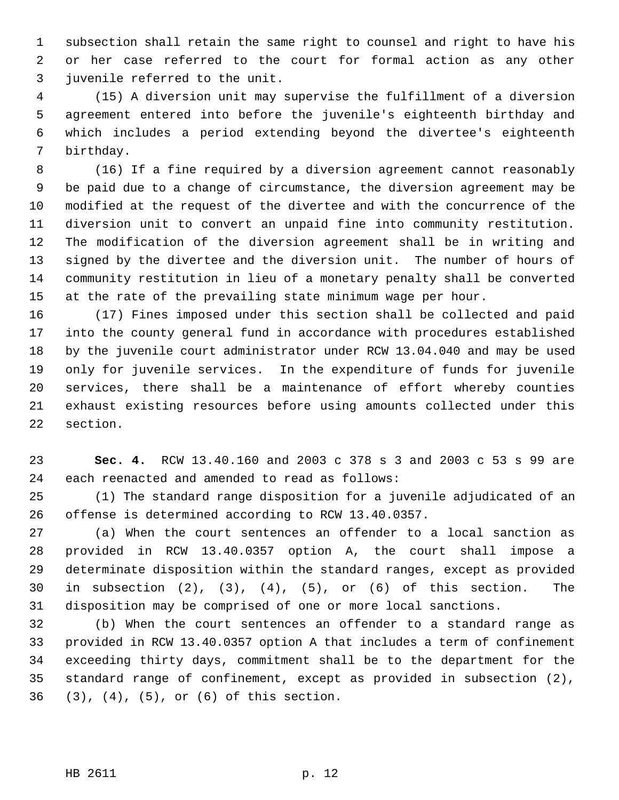subsection shall retain the same right to counsel and right to have his or her case referred to the court for formal action as any other juvenile referred to the unit.

 (15) A diversion unit may supervise the fulfillment of a diversion agreement entered into before the juvenile's eighteenth birthday and which includes a period extending beyond the divertee's eighteenth birthday.

 (16) If a fine required by a diversion agreement cannot reasonably be paid due to a change of circumstance, the diversion agreement may be modified at the request of the divertee and with the concurrence of the diversion unit to convert an unpaid fine into community restitution. The modification of the diversion agreement shall be in writing and signed by the divertee and the diversion unit. The number of hours of community restitution in lieu of a monetary penalty shall be converted at the rate of the prevailing state minimum wage per hour.

 (17) Fines imposed under this section shall be collected and paid into the county general fund in accordance with procedures established by the juvenile court administrator under RCW 13.04.040 and may be used only for juvenile services. In the expenditure of funds for juvenile services, there shall be a maintenance of effort whereby counties exhaust existing resources before using amounts collected under this section.

 **Sec. 4.** RCW 13.40.160 and 2003 c 378 s 3 and 2003 c 53 s 99 are each reenacted and amended to read as follows:

 (1) The standard range disposition for a juvenile adjudicated of an offense is determined according to RCW 13.40.0357.

 (a) When the court sentences an offender to a local sanction as provided in RCW 13.40.0357 option A, the court shall impose a determinate disposition within the standard ranges, except as provided in subsection (2), (3), (4), (5), or (6) of this section. The disposition may be comprised of one or more local sanctions.

 (b) When the court sentences an offender to a standard range as provided in RCW 13.40.0357 option A that includes a term of confinement exceeding thirty days, commitment shall be to the department for the standard range of confinement, except as provided in subsection (2), (3), (4), (5), or (6) of this section.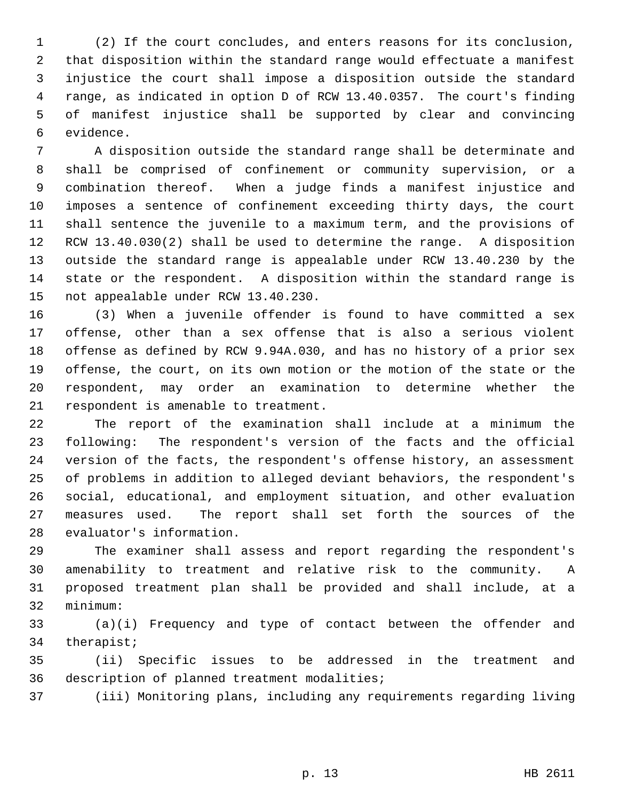(2) If the court concludes, and enters reasons for its conclusion, that disposition within the standard range would effectuate a manifest injustice the court shall impose a disposition outside the standard range, as indicated in option D of RCW 13.40.0357. The court's finding of manifest injustice shall be supported by clear and convincing evidence.

 A disposition outside the standard range shall be determinate and shall be comprised of confinement or community supervision, or a combination thereof. When a judge finds a manifest injustice and imposes a sentence of confinement exceeding thirty days, the court shall sentence the juvenile to a maximum term, and the provisions of RCW 13.40.030(2) shall be used to determine the range. A disposition outside the standard range is appealable under RCW 13.40.230 by the state or the respondent. A disposition within the standard range is not appealable under RCW 13.40.230.

 (3) When a juvenile offender is found to have committed a sex offense, other than a sex offense that is also a serious violent offense as defined by RCW 9.94A.030, and has no history of a prior sex offense, the court, on its own motion or the motion of the state or the respondent, may order an examination to determine whether the respondent is amenable to treatment.

 The report of the examination shall include at a minimum the following: The respondent's version of the facts and the official version of the facts, the respondent's offense history, an assessment of problems in addition to alleged deviant behaviors, the respondent's social, educational, and employment situation, and other evaluation measures used. The report shall set forth the sources of the evaluator's information.

 The examiner shall assess and report regarding the respondent's amenability to treatment and relative risk to the community. A proposed treatment plan shall be provided and shall include, at a minimum:

 (a)(i) Frequency and type of contact between the offender and therapist;

 (ii) Specific issues to be addressed in the treatment and description of planned treatment modalities;

(iii) Monitoring plans, including any requirements regarding living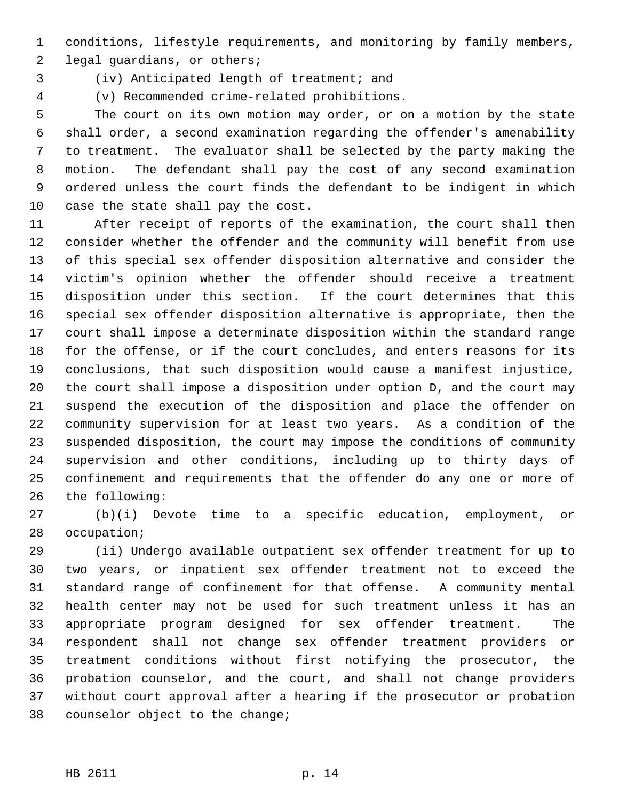conditions, lifestyle requirements, and monitoring by family members, legal guardians, or others;

(iv) Anticipated length of treatment; and

(v) Recommended crime-related prohibitions.

 The court on its own motion may order, or on a motion by the state shall order, a second examination regarding the offender's amenability to treatment. The evaluator shall be selected by the party making the motion. The defendant shall pay the cost of any second examination ordered unless the court finds the defendant to be indigent in which case the state shall pay the cost.

 After receipt of reports of the examination, the court shall then consider whether the offender and the community will benefit from use of this special sex offender disposition alternative and consider the victim's opinion whether the offender should receive a treatment disposition under this section. If the court determines that this special sex offender disposition alternative is appropriate, then the court shall impose a determinate disposition within the standard range for the offense, or if the court concludes, and enters reasons for its conclusions, that such disposition would cause a manifest injustice, the court shall impose a disposition under option D, and the court may suspend the execution of the disposition and place the offender on community supervision for at least two years. As a condition of the suspended disposition, the court may impose the conditions of community supervision and other conditions, including up to thirty days of confinement and requirements that the offender do any one or more of the following:

 (b)(i) Devote time to a specific education, employment, or occupation;

 (ii) Undergo available outpatient sex offender treatment for up to two years, or inpatient sex offender treatment not to exceed the standard range of confinement for that offense. A community mental health center may not be used for such treatment unless it has an appropriate program designed for sex offender treatment. The respondent shall not change sex offender treatment providers or treatment conditions without first notifying the prosecutor, the probation counselor, and the court, and shall not change providers without court approval after a hearing if the prosecutor or probation counselor object to the change;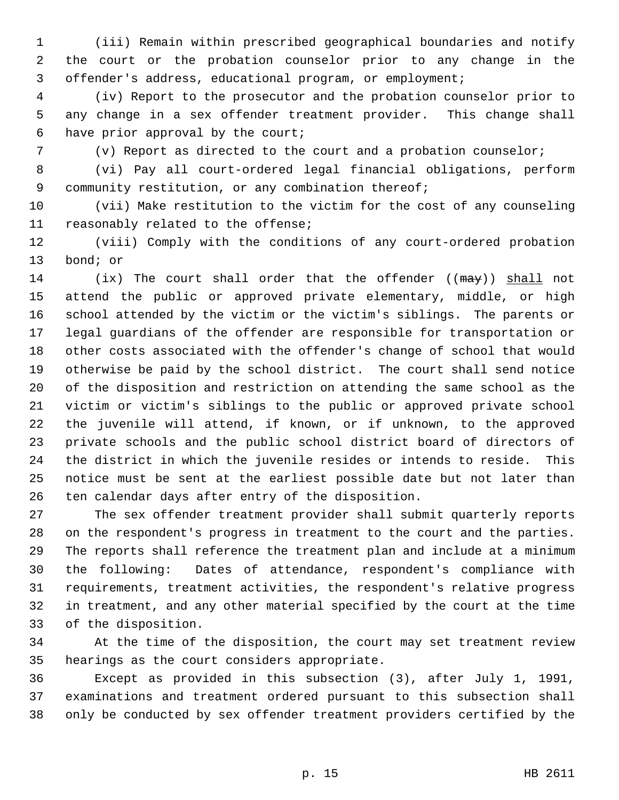(iii) Remain within prescribed geographical boundaries and notify the court or the probation counselor prior to any change in the offender's address, educational program, or employment;

 (iv) Report to the prosecutor and the probation counselor prior to any change in a sex offender treatment provider. This change shall have prior approval by the court;

(v) Report as directed to the court and a probation counselor;

 (vi) Pay all court-ordered legal financial obligations, perform community restitution, or any combination thereof;

 (vii) Make restitution to the victim for the cost of any counseling reasonably related to the offense;

 (viii) Comply with the conditions of any court-ordered probation bond; or

14 (ix) The court shall order that the offender ((may)) shall not attend the public or approved private elementary, middle, or high school attended by the victim or the victim's siblings. The parents or legal guardians of the offender are responsible for transportation or other costs associated with the offender's change of school that would otherwise be paid by the school district. The court shall send notice of the disposition and restriction on attending the same school as the victim or victim's siblings to the public or approved private school the juvenile will attend, if known, or if unknown, to the approved private schools and the public school district board of directors of the district in which the juvenile resides or intends to reside. This notice must be sent at the earliest possible date but not later than ten calendar days after entry of the disposition.

 The sex offender treatment provider shall submit quarterly reports on the respondent's progress in treatment to the court and the parties. The reports shall reference the treatment plan and include at a minimum the following: Dates of attendance, respondent's compliance with requirements, treatment activities, the respondent's relative progress in treatment, and any other material specified by the court at the time of the disposition.

 At the time of the disposition, the court may set treatment review hearings as the court considers appropriate.

 Except as provided in this subsection (3), after July 1, 1991, examinations and treatment ordered pursuant to this subsection shall only be conducted by sex offender treatment providers certified by the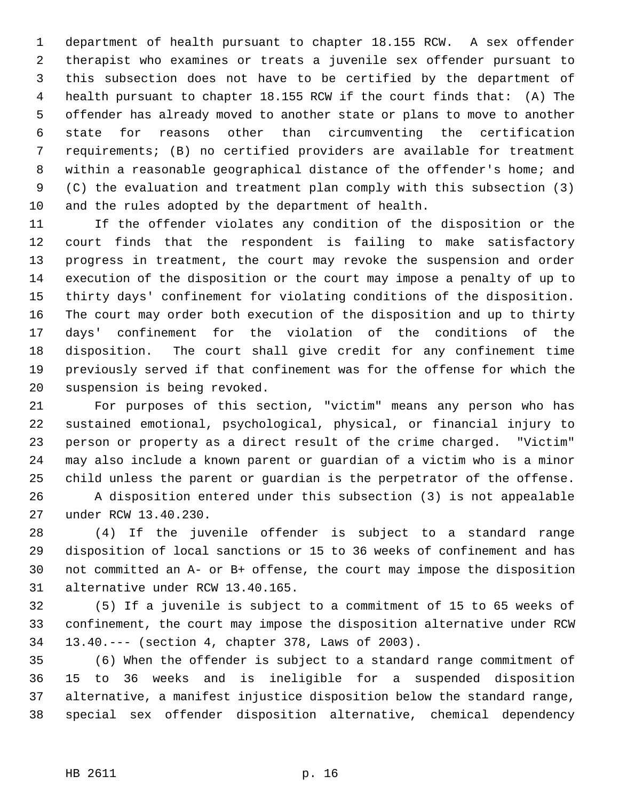department of health pursuant to chapter 18.155 RCW. A sex offender therapist who examines or treats a juvenile sex offender pursuant to this subsection does not have to be certified by the department of health pursuant to chapter 18.155 RCW if the court finds that: (A) The offender has already moved to another state or plans to move to another state for reasons other than circumventing the certification requirements; (B) no certified providers are available for treatment within a reasonable geographical distance of the offender's home; and (C) the evaluation and treatment plan comply with this subsection (3) and the rules adopted by the department of health.

 If the offender violates any condition of the disposition or the court finds that the respondent is failing to make satisfactory progress in treatment, the court may revoke the suspension and order execution of the disposition or the court may impose a penalty of up to thirty days' confinement for violating conditions of the disposition. The court may order both execution of the disposition and up to thirty days' confinement for the violation of the conditions of the disposition. The court shall give credit for any confinement time previously served if that confinement was for the offense for which the suspension is being revoked.

 For purposes of this section, "victim" means any person who has sustained emotional, psychological, physical, or financial injury to person or property as a direct result of the crime charged. "Victim" may also include a known parent or guardian of a victim who is a minor child unless the parent or guardian is the perpetrator of the offense.

 A disposition entered under this subsection (3) is not appealable under RCW 13.40.230.

 (4) If the juvenile offender is subject to a standard range disposition of local sanctions or 15 to 36 weeks of confinement and has not committed an A- or B+ offense, the court may impose the disposition alternative under RCW 13.40.165.

 (5) If a juvenile is subject to a commitment of 15 to 65 weeks of confinement, the court may impose the disposition alternative under RCW 13.40.--- (section 4, chapter 378, Laws of 2003).

 (6) When the offender is subject to a standard range commitment of 15 to 36 weeks and is ineligible for a suspended disposition alternative, a manifest injustice disposition below the standard range, special sex offender disposition alternative, chemical dependency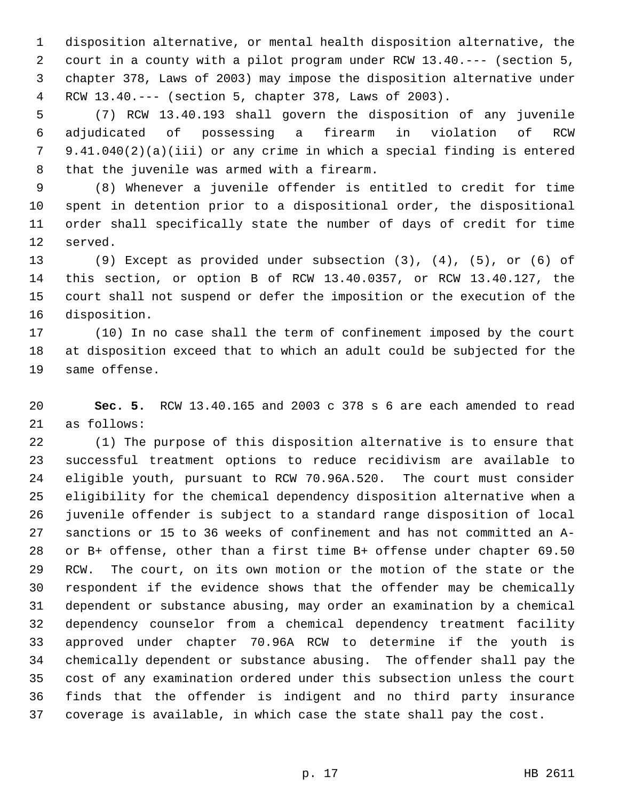disposition alternative, or mental health disposition alternative, the court in a county with a pilot program under RCW 13.40.--- (section 5, chapter 378, Laws of 2003) may impose the disposition alternative under RCW 13.40.--- (section 5, chapter 378, Laws of 2003).

 (7) RCW 13.40.193 shall govern the disposition of any juvenile adjudicated of possessing a firearm in violation of RCW 9.41.040(2)(a)(iii) or any crime in which a special finding is entered that the juvenile was armed with a firearm.

 (8) Whenever a juvenile offender is entitled to credit for time spent in detention prior to a dispositional order, the dispositional order shall specifically state the number of days of credit for time served.

 (9) Except as provided under subsection (3), (4), (5), or (6) of this section, or option B of RCW 13.40.0357, or RCW 13.40.127, the court shall not suspend or defer the imposition or the execution of the disposition.

 (10) In no case shall the term of confinement imposed by the court at disposition exceed that to which an adult could be subjected for the same offense.

 **Sec. 5.** RCW 13.40.165 and 2003 c 378 s 6 are each amended to read as follows:

 (1) The purpose of this disposition alternative is to ensure that successful treatment options to reduce recidivism are available to eligible youth, pursuant to RCW 70.96A.520. The court must consider eligibility for the chemical dependency disposition alternative when a juvenile offender is subject to a standard range disposition of local sanctions or 15 to 36 weeks of confinement and has not committed an A- or B+ offense, other than a first time B+ offense under chapter 69.50 RCW. The court, on its own motion or the motion of the state or the respondent if the evidence shows that the offender may be chemically dependent or substance abusing, may order an examination by a chemical dependency counselor from a chemical dependency treatment facility approved under chapter 70.96A RCW to determine if the youth is chemically dependent or substance abusing. The offender shall pay the cost of any examination ordered under this subsection unless the court finds that the offender is indigent and no third party insurance coverage is available, in which case the state shall pay the cost.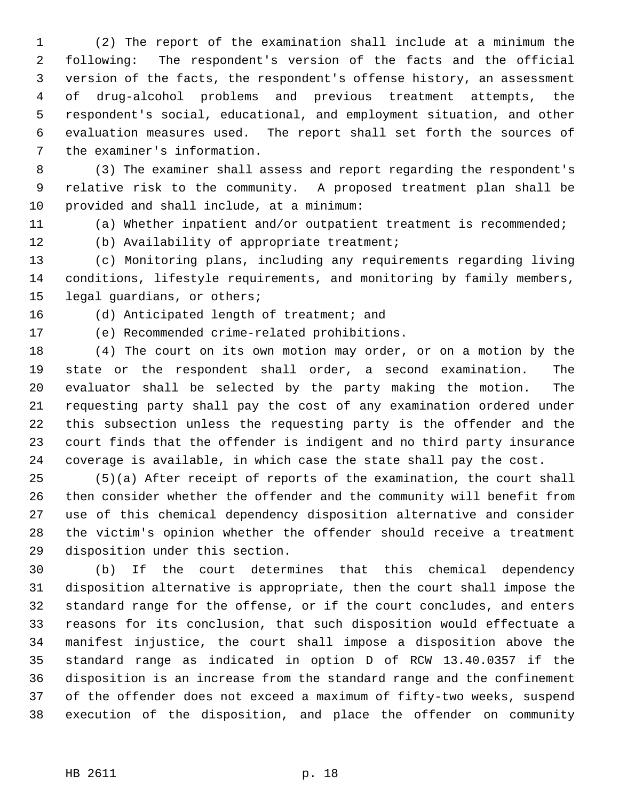(2) The report of the examination shall include at a minimum the following: The respondent's version of the facts and the official version of the facts, the respondent's offense history, an assessment of drug-alcohol problems and previous treatment attempts, the respondent's social, educational, and employment situation, and other evaluation measures used. The report shall set forth the sources of the examiner's information.

 (3) The examiner shall assess and report regarding the respondent's relative risk to the community. A proposed treatment plan shall be provided and shall include, at a minimum:

(a) Whether inpatient and/or outpatient treatment is recommended;

(b) Availability of appropriate treatment;

 (c) Monitoring plans, including any requirements regarding living conditions, lifestyle requirements, and monitoring by family members, legal guardians, or others;

(d) Anticipated length of treatment; and

(e) Recommended crime-related prohibitions.

 (4) The court on its own motion may order, or on a motion by the state or the respondent shall order, a second examination. The evaluator shall be selected by the party making the motion. The requesting party shall pay the cost of any examination ordered under this subsection unless the requesting party is the offender and the court finds that the offender is indigent and no third party insurance coverage is available, in which case the state shall pay the cost.

 (5)(a) After receipt of reports of the examination, the court shall then consider whether the offender and the community will benefit from use of this chemical dependency disposition alternative and consider the victim's opinion whether the offender should receive a treatment disposition under this section.

 (b) If the court determines that this chemical dependency disposition alternative is appropriate, then the court shall impose the standard range for the offense, or if the court concludes, and enters reasons for its conclusion, that such disposition would effectuate a manifest injustice, the court shall impose a disposition above the standard range as indicated in option D of RCW 13.40.0357 if the disposition is an increase from the standard range and the confinement of the offender does not exceed a maximum of fifty-two weeks, suspend execution of the disposition, and place the offender on community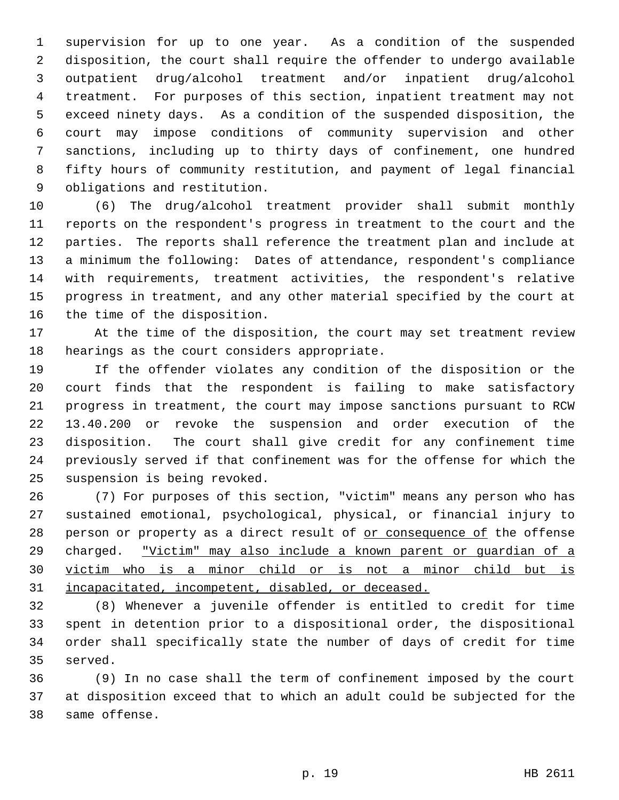supervision for up to one year. As a condition of the suspended disposition, the court shall require the offender to undergo available outpatient drug/alcohol treatment and/or inpatient drug/alcohol treatment. For purposes of this section, inpatient treatment may not exceed ninety days. As a condition of the suspended disposition, the court may impose conditions of community supervision and other sanctions, including up to thirty days of confinement, one hundred fifty hours of community restitution, and payment of legal financial obligations and restitution.

 (6) The drug/alcohol treatment provider shall submit monthly reports on the respondent's progress in treatment to the court and the parties. The reports shall reference the treatment plan and include at a minimum the following: Dates of attendance, respondent's compliance with requirements, treatment activities, the respondent's relative progress in treatment, and any other material specified by the court at the time of the disposition.

 At the time of the disposition, the court may set treatment review hearings as the court considers appropriate.

 If the offender violates any condition of the disposition or the court finds that the respondent is failing to make satisfactory progress in treatment, the court may impose sanctions pursuant to RCW 13.40.200 or revoke the suspension and order execution of the disposition. The court shall give credit for any confinement time previously served if that confinement was for the offense for which the suspension is being revoked.

 (7) For purposes of this section, "victim" means any person who has sustained emotional, psychological, physical, or financial injury to 28 person or property as a direct result of or consequence of the offense 29 charged. "Victim" may also include a known parent or guardian of a victim who is a minor child or is not a minor child but is incapacitated, incompetent, disabled, or deceased.

 (8) Whenever a juvenile offender is entitled to credit for time spent in detention prior to a dispositional order, the dispositional order shall specifically state the number of days of credit for time served.

 (9) In no case shall the term of confinement imposed by the court at disposition exceed that to which an adult could be subjected for the same offense.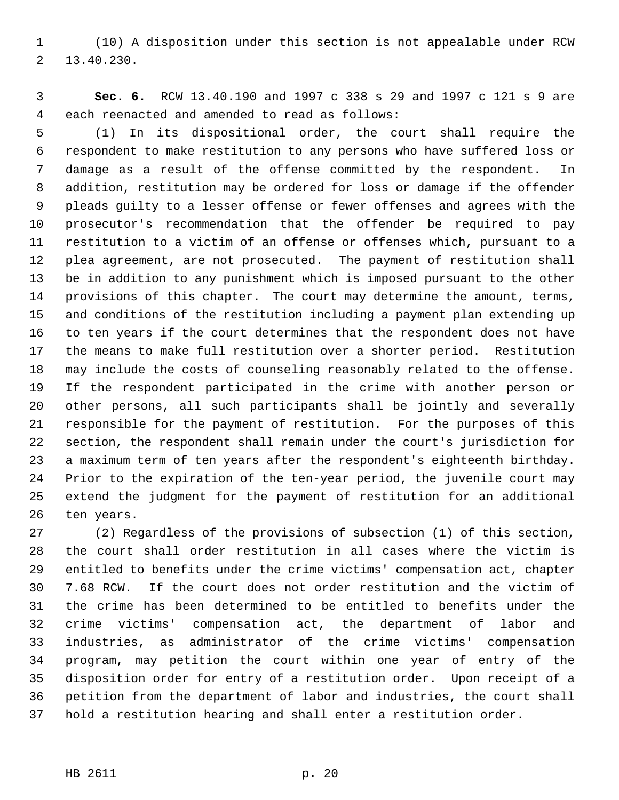(10) A disposition under this section is not appealable under RCW 13.40.230.

 **Sec. 6.** RCW 13.40.190 and 1997 c 338 s 29 and 1997 c 121 s 9 are each reenacted and amended to read as follows:

 (1) In its dispositional order, the court shall require the respondent to make restitution to any persons who have suffered loss or damage as a result of the offense committed by the respondent. In addition, restitution may be ordered for loss or damage if the offender pleads guilty to a lesser offense or fewer offenses and agrees with the prosecutor's recommendation that the offender be required to pay restitution to a victim of an offense or offenses which, pursuant to a plea agreement, are not prosecuted. The payment of restitution shall be in addition to any punishment which is imposed pursuant to the other provisions of this chapter. The court may determine the amount, terms, and conditions of the restitution including a payment plan extending up to ten years if the court determines that the respondent does not have the means to make full restitution over a shorter period. Restitution may include the costs of counseling reasonably related to the offense. If the respondent participated in the crime with another person or other persons, all such participants shall be jointly and severally responsible for the payment of restitution. For the purposes of this section, the respondent shall remain under the court's jurisdiction for a maximum term of ten years after the respondent's eighteenth birthday. Prior to the expiration of the ten-year period, the juvenile court may extend the judgment for the payment of restitution for an additional ten years.

 (2) Regardless of the provisions of subsection (1) of this section, the court shall order restitution in all cases where the victim is entitled to benefits under the crime victims' compensation act, chapter 7.68 RCW. If the court does not order restitution and the victim of the crime has been determined to be entitled to benefits under the crime victims' compensation act, the department of labor and industries, as administrator of the crime victims' compensation program, may petition the court within one year of entry of the disposition order for entry of a restitution order. Upon receipt of a petition from the department of labor and industries, the court shall hold a restitution hearing and shall enter a restitution order.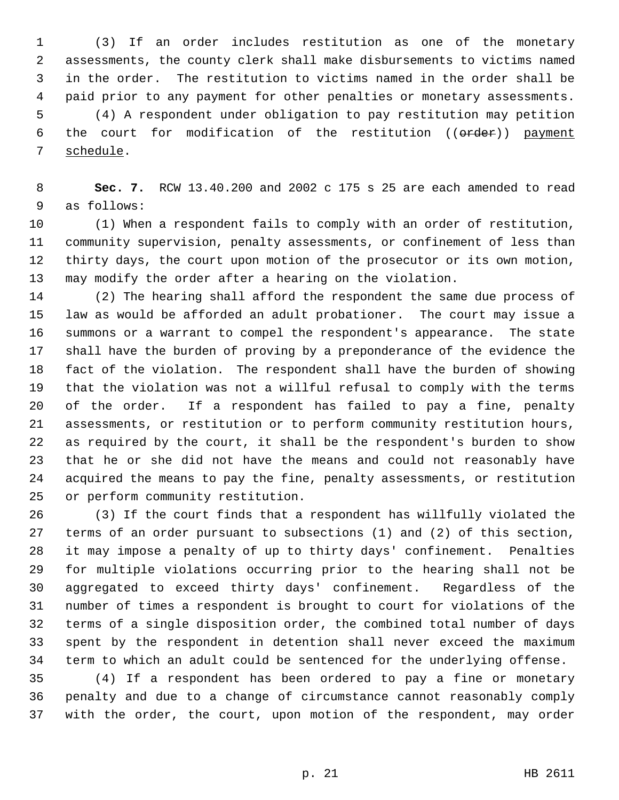(3) If an order includes restitution as one of the monetary assessments, the county clerk shall make disbursements to victims named in the order. The restitution to victims named in the order shall be paid prior to any payment for other penalties or monetary assessments. (4) A respondent under obligation to pay restitution may petition 6 the court for modification of the restitution ((order)) payment schedule.

 **Sec. 7.** RCW 13.40.200 and 2002 c 175 s 25 are each amended to read as follows:

 (1) When a respondent fails to comply with an order of restitution, community supervision, penalty assessments, or confinement of less than thirty days, the court upon motion of the prosecutor or its own motion, may modify the order after a hearing on the violation.

 (2) The hearing shall afford the respondent the same due process of law as would be afforded an adult probationer. The court may issue a summons or a warrant to compel the respondent's appearance. The state shall have the burden of proving by a preponderance of the evidence the fact of the violation. The respondent shall have the burden of showing that the violation was not a willful refusal to comply with the terms of the order. If a respondent has failed to pay a fine, penalty assessments, or restitution or to perform community restitution hours, as required by the court, it shall be the respondent's burden to show that he or she did not have the means and could not reasonably have acquired the means to pay the fine, penalty assessments, or restitution or perform community restitution.

 (3) If the court finds that a respondent has willfully violated the terms of an order pursuant to subsections (1) and (2) of this section, it may impose a penalty of up to thirty days' confinement. Penalties for multiple violations occurring prior to the hearing shall not be aggregated to exceed thirty days' confinement. Regardless of the number of times a respondent is brought to court for violations of the terms of a single disposition order, the combined total number of days spent by the respondent in detention shall never exceed the maximum term to which an adult could be sentenced for the underlying offense.

 (4) If a respondent has been ordered to pay a fine or monetary penalty and due to a change of circumstance cannot reasonably comply with the order, the court, upon motion of the respondent, may order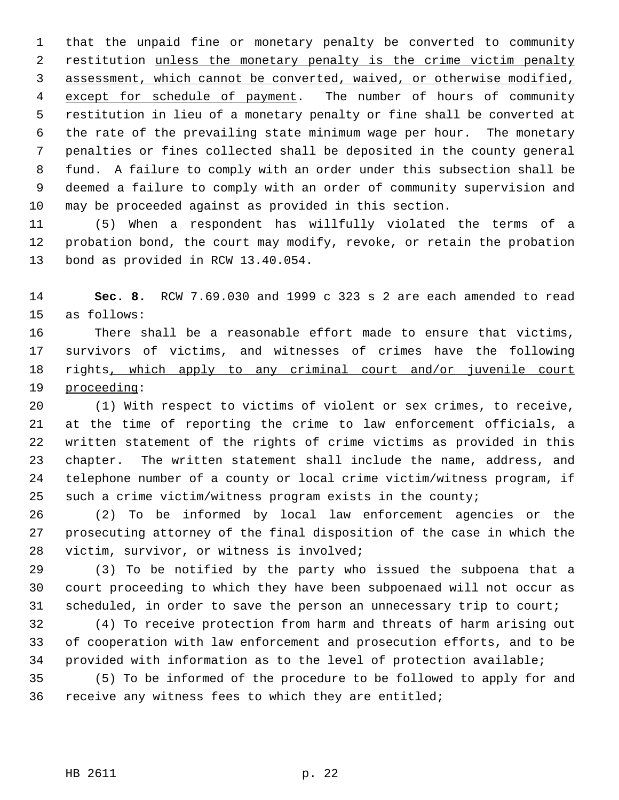that the unpaid fine or monetary penalty be converted to community 2 restitution unless the monetary penalty is the crime victim penalty assessment, which cannot be converted, waived, or otherwise modified, except for schedule of payment. The number of hours of community restitution in lieu of a monetary penalty or fine shall be converted at the rate of the prevailing state minimum wage per hour. The monetary penalties or fines collected shall be deposited in the county general fund. A failure to comply with an order under this subsection shall be deemed a failure to comply with an order of community supervision and may be proceeded against as provided in this section.

 (5) When a respondent has willfully violated the terms of a probation bond, the court may modify, revoke, or retain the probation bond as provided in RCW 13.40.054.

 **Sec. 8.** RCW 7.69.030 and 1999 c 323 s 2 are each amended to read as follows:

 There shall be a reasonable effort made to ensure that victims, survivors of victims, and witnesses of crimes have the following rights, which apply to any criminal court and/or juvenile court proceeding:

 (1) With respect to victims of violent or sex crimes, to receive, at the time of reporting the crime to law enforcement officials, a written statement of the rights of crime victims as provided in this chapter. The written statement shall include the name, address, and telephone number of a county or local crime victim/witness program, if such a crime victim/witness program exists in the county;

 (2) To be informed by local law enforcement agencies or the prosecuting attorney of the final disposition of the case in which the victim, survivor, or witness is involved;

 (3) To be notified by the party who issued the subpoena that a court proceeding to which they have been subpoenaed will not occur as scheduled, in order to save the person an unnecessary trip to court;

 (4) To receive protection from harm and threats of harm arising out of cooperation with law enforcement and prosecution efforts, and to be provided with information as to the level of protection available;

 (5) To be informed of the procedure to be followed to apply for and receive any witness fees to which they are entitled;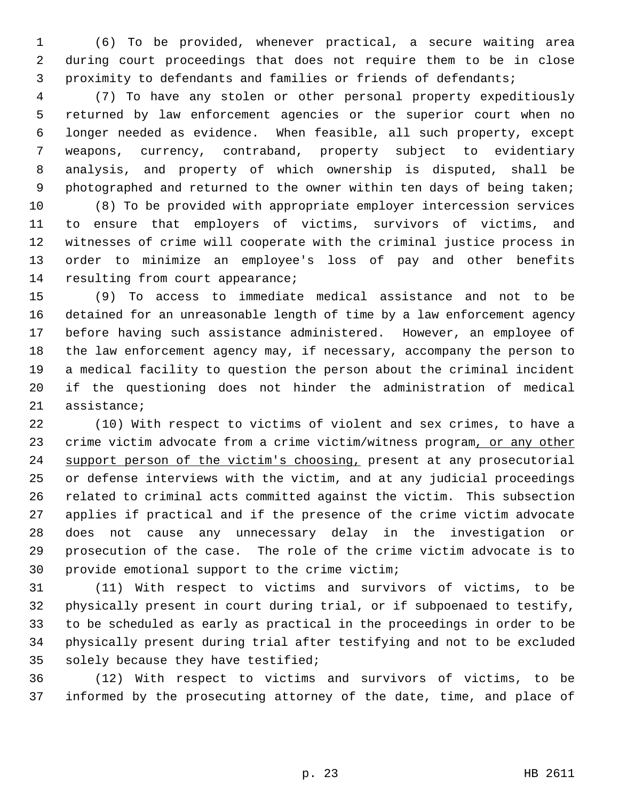(6) To be provided, whenever practical, a secure waiting area during court proceedings that does not require them to be in close proximity to defendants and families or friends of defendants;

 (7) To have any stolen or other personal property expeditiously returned by law enforcement agencies or the superior court when no longer needed as evidence. When feasible, all such property, except weapons, currency, contraband, property subject to evidentiary analysis, and property of which ownership is disputed, shall be 9 photographed and returned to the owner within ten days of being taken;

 (8) To be provided with appropriate employer intercession services to ensure that employers of victims, survivors of victims, and witnesses of crime will cooperate with the criminal justice process in order to minimize an employee's loss of pay and other benefits 14 resulting from court appearance;

 (9) To access to immediate medical assistance and not to be detained for an unreasonable length of time by a law enforcement agency before having such assistance administered. However, an employee of the law enforcement agency may, if necessary, accompany the person to a medical facility to question the person about the criminal incident if the questioning does not hinder the administration of medical assistance;

 (10) With respect to victims of violent and sex crimes, to have a 23 crime victim advocate from a crime victim/witness program, or any other support person of the victim's choosing, present at any prosecutorial or defense interviews with the victim, and at any judicial proceedings related to criminal acts committed against the victim. This subsection applies if practical and if the presence of the crime victim advocate does not cause any unnecessary delay in the investigation or prosecution of the case. The role of the crime victim advocate is to provide emotional support to the crime victim;

 (11) With respect to victims and survivors of victims, to be physically present in court during trial, or if subpoenaed to testify, to be scheduled as early as practical in the proceedings in order to be physically present during trial after testifying and not to be excluded solely because they have testified;

 (12) With respect to victims and survivors of victims, to be informed by the prosecuting attorney of the date, time, and place of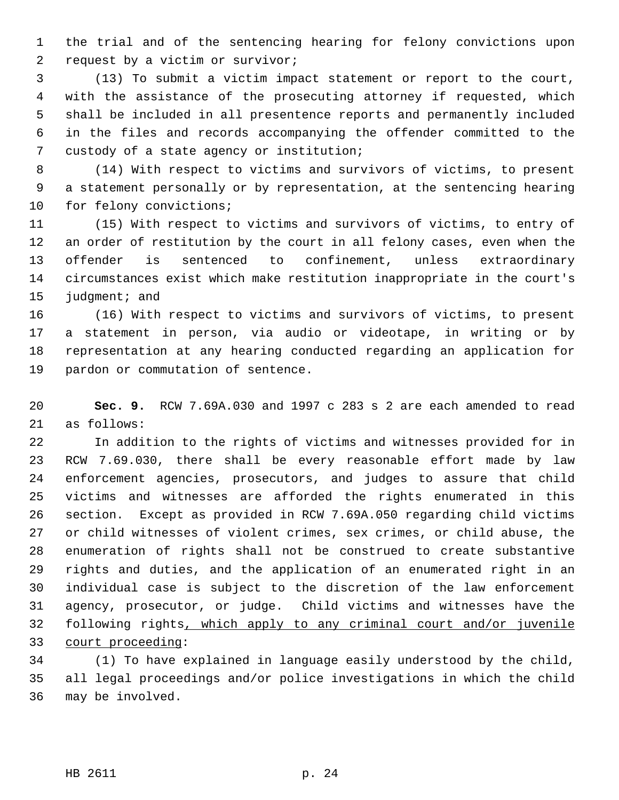the trial and of the sentencing hearing for felony convictions upon request by a victim or survivor;

 (13) To submit a victim impact statement or report to the court, with the assistance of the prosecuting attorney if requested, which shall be included in all presentence reports and permanently included in the files and records accompanying the offender committed to the custody of a state agency or institution;

 (14) With respect to victims and survivors of victims, to present a statement personally or by representation, at the sentencing hearing 10 for felony convictions;

 (15) With respect to victims and survivors of victims, to entry of an order of restitution by the court in all felony cases, even when the offender is sentenced to confinement, unless extraordinary circumstances exist which make restitution inappropriate in the court's 15 judgment; and

 (16) With respect to victims and survivors of victims, to present a statement in person, via audio or videotape, in writing or by representation at any hearing conducted regarding an application for pardon or commutation of sentence.

 **Sec. 9.** RCW 7.69A.030 and 1997 c 283 s 2 are each amended to read as follows:

 In addition to the rights of victims and witnesses provided for in RCW 7.69.030, there shall be every reasonable effort made by law enforcement agencies, prosecutors, and judges to assure that child victims and witnesses are afforded the rights enumerated in this section. Except as provided in RCW 7.69A.050 regarding child victims or child witnesses of violent crimes, sex crimes, or child abuse, the enumeration of rights shall not be construed to create substantive rights and duties, and the application of an enumerated right in an individual case is subject to the discretion of the law enforcement agency, prosecutor, or judge. Child victims and witnesses have the following rights, which apply to any criminal court and/or juvenile court proceeding:

 (1) To have explained in language easily understood by the child, all legal proceedings and/or police investigations in which the child may be involved.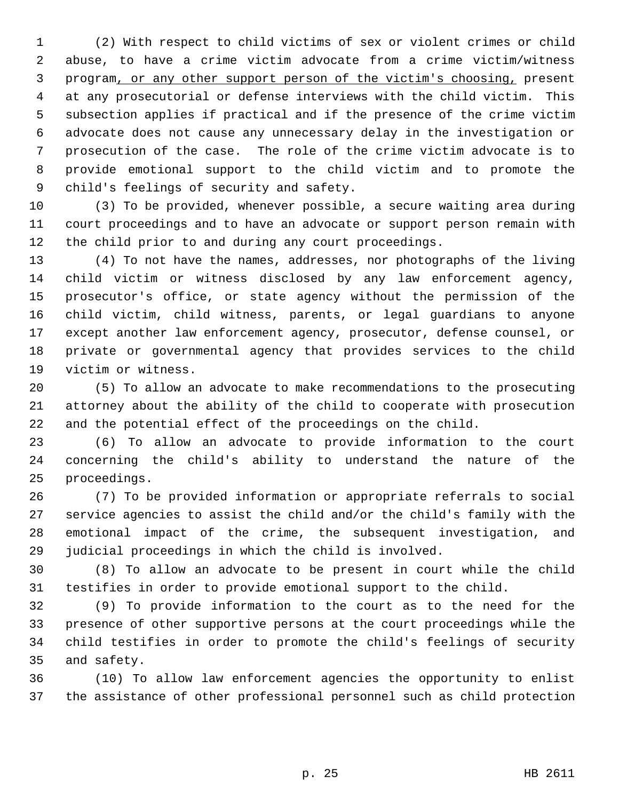(2) With respect to child victims of sex or violent crimes or child abuse, to have a crime victim advocate from a crime victim/witness program, or any other support person of the victim's choosing, present at any prosecutorial or defense interviews with the child victim. This subsection applies if practical and if the presence of the crime victim advocate does not cause any unnecessary delay in the investigation or prosecution of the case. The role of the crime victim advocate is to provide emotional support to the child victim and to promote the child's feelings of security and safety.

 (3) To be provided, whenever possible, a secure waiting area during court proceedings and to have an advocate or support person remain with the child prior to and during any court proceedings.

 (4) To not have the names, addresses, nor photographs of the living child victim or witness disclosed by any law enforcement agency, prosecutor's office, or state agency without the permission of the child victim, child witness, parents, or legal guardians to anyone except another law enforcement agency, prosecutor, defense counsel, or private or governmental agency that provides services to the child victim or witness.

 (5) To allow an advocate to make recommendations to the prosecuting attorney about the ability of the child to cooperate with prosecution and the potential effect of the proceedings on the child.

 (6) To allow an advocate to provide information to the court concerning the child's ability to understand the nature of the proceedings.

 (7) To be provided information or appropriate referrals to social service agencies to assist the child and/or the child's family with the emotional impact of the crime, the subsequent investigation, and judicial proceedings in which the child is involved.

 (8) To allow an advocate to be present in court while the child testifies in order to provide emotional support to the child.

 (9) To provide information to the court as to the need for the presence of other supportive persons at the court proceedings while the child testifies in order to promote the child's feelings of security and safety.

 (10) To allow law enforcement agencies the opportunity to enlist the assistance of other professional personnel such as child protection